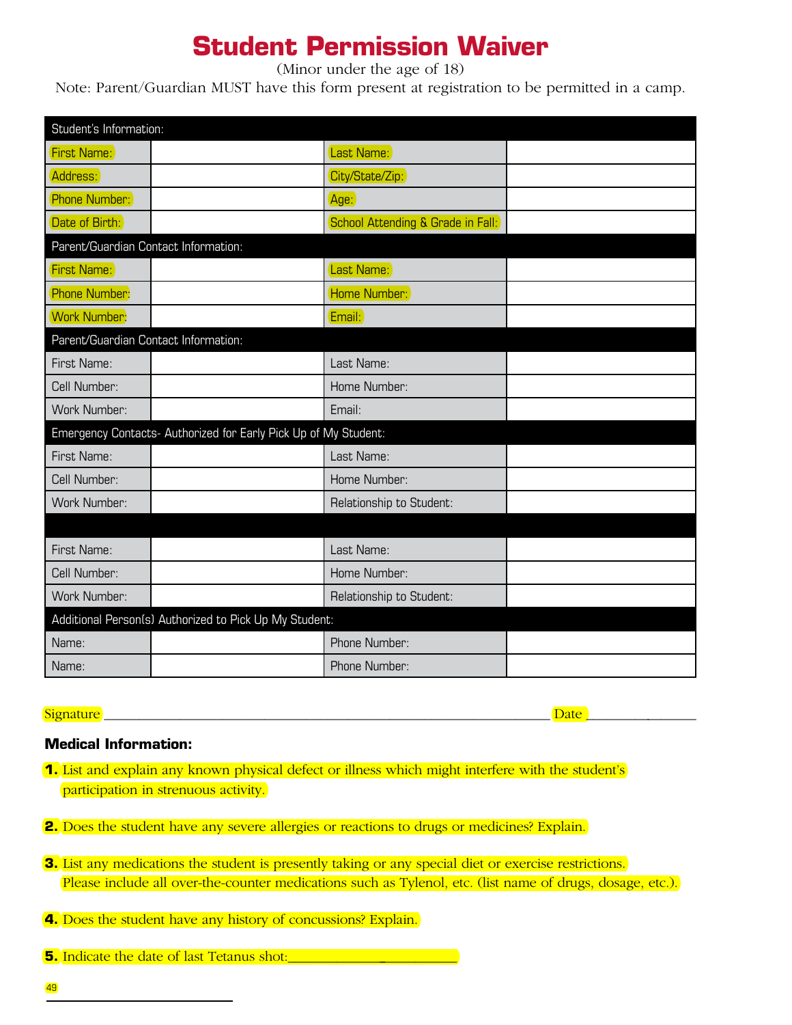# **Student Permission Waiver**

(Minor under the age of 18)

Note: Parent/Guardian MUST have this form present at registration to be permitted in a camp.

| Student's Information:                                          |  |                                   |  |  |  |
|-----------------------------------------------------------------|--|-----------------------------------|--|--|--|
| <b>First Name:</b>                                              |  | Last Name:                        |  |  |  |
| Address:                                                        |  | City/State/Zip:                   |  |  |  |
| Phone Number:                                                   |  | Age:                              |  |  |  |
| Date of Birth:                                                  |  | School Attending & Grade in Fall: |  |  |  |
| Parent/Guardian Contact Information:                            |  |                                   |  |  |  |
| <b>First Name:</b>                                              |  | Last Name:                        |  |  |  |
| Phone Number:                                                   |  | Home Number:                      |  |  |  |
| <b>Work Number:</b>                                             |  | Email:                            |  |  |  |
| Parent/Guardian Contact Information:                            |  |                                   |  |  |  |
| First Name:                                                     |  | Last Name:                        |  |  |  |
| Cell Number:                                                    |  | Home Number:                      |  |  |  |
| Work Number:                                                    |  | Email:                            |  |  |  |
| Emergency Contacts- Authorized for Early Pick Up of My Student: |  |                                   |  |  |  |
| First Name:                                                     |  | Last Name:                        |  |  |  |
| Cell Number:                                                    |  | Home Number:                      |  |  |  |
| Work Number:                                                    |  | Relationship to Student:          |  |  |  |
|                                                                 |  |                                   |  |  |  |
| First Name:                                                     |  | Last Name:                        |  |  |  |
| Cell Number:                                                    |  | Home Number:                      |  |  |  |
| Work Number:                                                    |  | Relationship to Student:          |  |  |  |
| Additional Person(s) Authorized to Pick Up My Student:          |  |                                   |  |  |  |
| Name:                                                           |  | Phone Number:                     |  |  |  |
| Name:                                                           |  | Phone Number:                     |  |  |  |

Signature and the set of the set of the set of the set of the set of the set of the set of the set of the set o

# **Medical Information:**

- **1.** List and explain any known physical defect or illness which might interfere with the student's participation in strenuous activity.
- **2.** Does the student have any severe allergies or reactions to drugs or medicines? Explain.
- **3.** List any medications the student is presently taking or any special diet or exercise restrictions. Please include all over-the-counter medications such as Tylenol, etc. (list name of drugs, dosage, etc.).
- **4.** Does the student have any history of concussions? Explain.
- **5.** Indicate the date of last Tetanus shot: